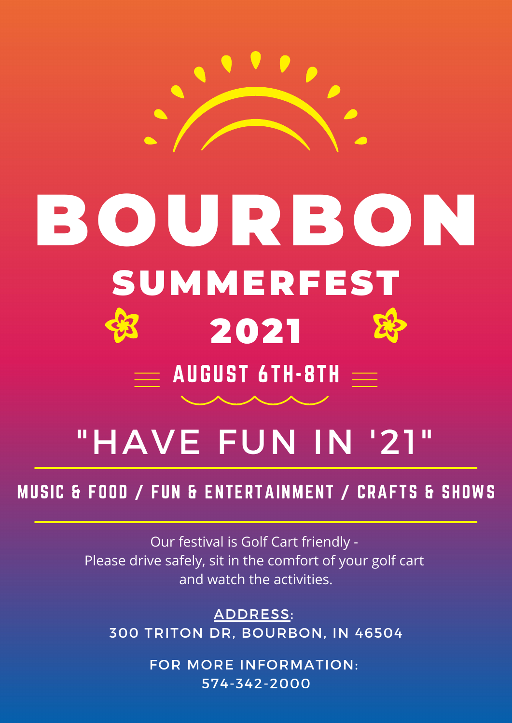

# BOURBON SUMMERFEST 2021  $=$  AUGUST 6TH $\cdot$ 8TH  $=$

# "HAVE FUN IN '21"

# MUSIC & FOOD / FUN & ENTERTAINMENT / CRAFTS & SHOWS

Our festival is Golf Cart friendly - Please drive safely, sit in the comfort of your golf cart and watch the activities.

ADDRESS: 300 TRITON DR, BOURBON, IN 46504

> FOR MORE INFORMATION: 574-342-2000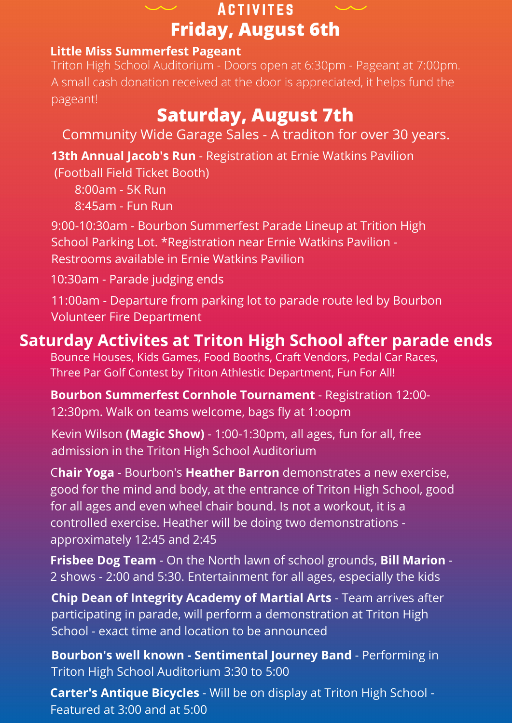

#### **Little Miss Summerfest Pageant**

Triton High School Auditorium - Doors open at 6:30pm - Pageant at 7:00pm. A small cash donation received at the door is appreciated, it helps fund the pageant!

# **Saturday, August 7th**

- Community Wide Garage Sales A traditon for over 30 years.
- **13th Annual Jacob's Run** Registration at Ernie Watkins Pavilion
- (Football Field Ticket Booth)
	- 8:00am 5K Run
	- 8:45am Fun Run
- 9:00-10:30am Bourbon Summerfest Parade Lineup at Trition High School Parking Lot. \*Registration near Ernie Watkins Pavilion - Restrooms available in Ernie Watkins Pavilion
- 10:30am Parade judging ends
- 11:00am Departure from parking lot to parade route led by Bourbon Volunteer Fire Department

## **Saturday Activites at Triton High School after parade ends**

- Bounce Houses, Kids Games, Food Booths, Craft Vendors, Pedal Car Races, Three Par Golf Contest by Triton Athlestic Department, Fun For All!
- **Bourbon Summerfest Cornhole Tournament** Registration 12:00- 12:30pm. Walk on teams welcome, bags fly at 1:oopm
- Kevin Wilson **(Magic Show)** 1:00-1:30pm, all ages, fun for all, free admission in the Triton High School Auditorium
- C**hair Yoga** Bourbon's **Heather Barron** demonstrates a new exercise, good for the mind and body, at the entrance of Triton High School, good for all ages and even wheel chair bound. Is not a workout, it is a controlled exercise. Heather will be doing two demonstrations approximately 12:45 and 2:45
- **Frisbee Dog Team** On the North lawn of school grounds, **Bill Marion** 2 shows - 2:00 and 5:30. Entertainment for all ages, especially the kids
- **Chip Dean of Integrity Academy of Martial Arts** Team arrives after participating in parade, will perform a demonstration at Triton High School - exact time and location to be announced
- **Bourbon's well known - Sentimental Journey Band** Performing in Triton High School Auditorium 3:30 to 5:00
- **Carter's Antique Bicycles** Will be on display at Triton High School Featured at 3:00 and at 5:00